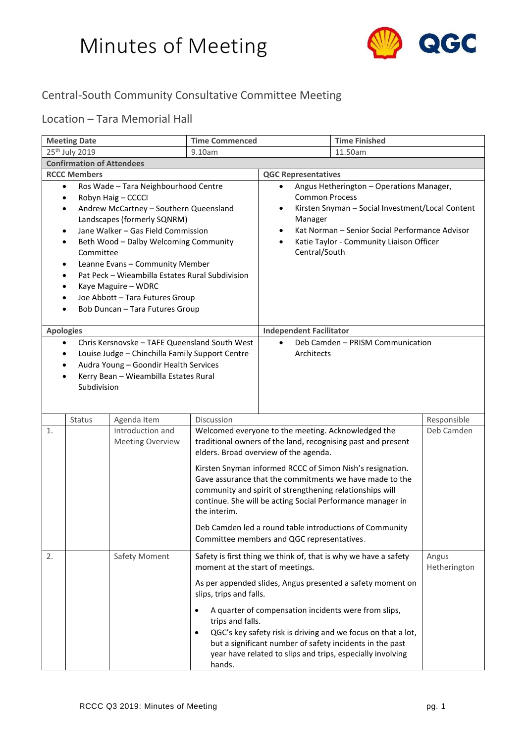

#### Central-South Community Consultative Committee Meeting

#### Location – Tara Memorial Hall

| <b>Meeting Date</b>                                                                                                                                                                                                                                                                                                                                                                                                                                                                                                    |                                  | <b>Time Commenced</b>                       |                                                                                                                         | <b>Time Finished</b>                                                                                                                                                                                  |                                                                                                                                                                                                                                                                                                               |                       |
|------------------------------------------------------------------------------------------------------------------------------------------------------------------------------------------------------------------------------------------------------------------------------------------------------------------------------------------------------------------------------------------------------------------------------------------------------------------------------------------------------------------------|----------------------------------|---------------------------------------------|-------------------------------------------------------------------------------------------------------------------------|-------------------------------------------------------------------------------------------------------------------------------------------------------------------------------------------------------|---------------------------------------------------------------------------------------------------------------------------------------------------------------------------------------------------------------------------------------------------------------------------------------------------------------|-----------------------|
| 25 <sup>th</sup> July 2019<br>9.10am                                                                                                                                                                                                                                                                                                                                                                                                                                                                                   |                                  |                                             |                                                                                                                         |                                                                                                                                                                                                       | 11.50am                                                                                                                                                                                                                                                                                                       |                       |
|                                                                                                                                                                                                                                                                                                                                                                                                                                                                                                                        | <b>Confirmation of Attendees</b> |                                             |                                                                                                                         |                                                                                                                                                                                                       |                                                                                                                                                                                                                                                                                                               |                       |
|                                                                                                                                                                                                                                                                                                                                                                                                                                                                                                                        | <b>RCCC Members</b>              |                                             |                                                                                                                         | <b>QGC Representatives</b>                                                                                                                                                                            |                                                                                                                                                                                                                                                                                                               |                       |
| Ros Wade - Tara Neighbourhood Centre<br>$\bullet$<br>Robyn Haig - CCCCI<br>٠<br>Andrew McCartney - Southern Queensland<br>$\bullet$<br>Landscapes (formerly SQNRM)<br>Jane Walker - Gas Field Commission<br>$\bullet$<br>Beth Wood - Dalby Welcoming Community<br>٠<br>Committee<br>Leanne Evans - Community Member<br>$\bullet$<br>Pat Peck - Wieambilla Estates Rural Subdivision<br>$\bullet$<br>Kaye Maguire - WDRC<br>٠<br>Joe Abbott - Tara Futures Group<br>Bob Duncan - Tara Futures Group<br><b>Apologies</b> |                                  |                                             | $\bullet$<br><b>Common Process</b><br>٠<br>Manager<br>٠<br>$\bullet$<br>Central/South<br><b>Independent Facilitator</b> | Angus Hetherington - Operations Manager,<br>Kirsten Snyman - Social Investment/Local Content<br>Kat Norman - Senior Social Performance Advisor<br>Katie Taylor - Community Liaison Officer            |                                                                                                                                                                                                                                                                                                               |                       |
|                                                                                                                                                                                                                                                                                                                                                                                                                                                                                                                        |                                  |                                             |                                                                                                                         | $\bullet$                                                                                                                                                                                             | Deb Camden - PRISM Communication                                                                                                                                                                                                                                                                              |                       |
| Chris Kersnovske - TAFE Queensland South West<br>$\bullet$<br>Louise Judge - Chinchilla Family Support Centre<br>٠<br>Audra Young - Goondir Health Services<br>Kerry Bean - Wieambilla Estates Rural<br>٠<br>Subdivision                                                                                                                                                                                                                                                                                               |                                  |                                             | Architects                                                                                                              |                                                                                                                                                                                                       |                                                                                                                                                                                                                                                                                                               |                       |
|                                                                                                                                                                                                                                                                                                                                                                                                                                                                                                                        | Status                           | Agenda Item                                 | Discussion                                                                                                              |                                                                                                                                                                                                       |                                                                                                                                                                                                                                                                                                               | Responsible           |
| 1.                                                                                                                                                                                                                                                                                                                                                                                                                                                                                                                     |                                  | Introduction and<br><b>Meeting Overview</b> | the interim.                                                                                                            | Welcomed everyone to the meeting. Acknowledged the<br>elders. Broad overview of the agenda.<br>community and spirit of strengthening relationships will<br>Committee members and QGC representatives. | traditional owners of the land, recognising past and present<br>Kirsten Snyman informed RCCC of Simon Nish's resignation.<br>Gave assurance that the commitments we have made to the<br>continue. She will be acting Social Performance manager in<br>Deb Camden led a round table introductions of Community | Deb Camden            |
| 2.                                                                                                                                                                                                                                                                                                                                                                                                                                                                                                                     |                                  | Safety Moment                               | moment at the start of meetings.                                                                                        |                                                                                                                                                                                                       | Safety is first thing we think of, that is why we have a safety                                                                                                                                                                                                                                               | Angus<br>Hetherington |
|                                                                                                                                                                                                                                                                                                                                                                                                                                                                                                                        |                                  |                                             | slips, trips and falls.<br>$\bullet$<br>trips and falls.<br>٠<br>hands.                                                 | A quarter of compensation incidents were from slips,                                                                                                                                                  | As per appended slides, Angus presented a safety moment on<br>QGC's key safety risk is driving and we focus on that a lot,<br>but a significant number of safety incidents in the past<br>year have related to slips and trips, especially involving                                                          |                       |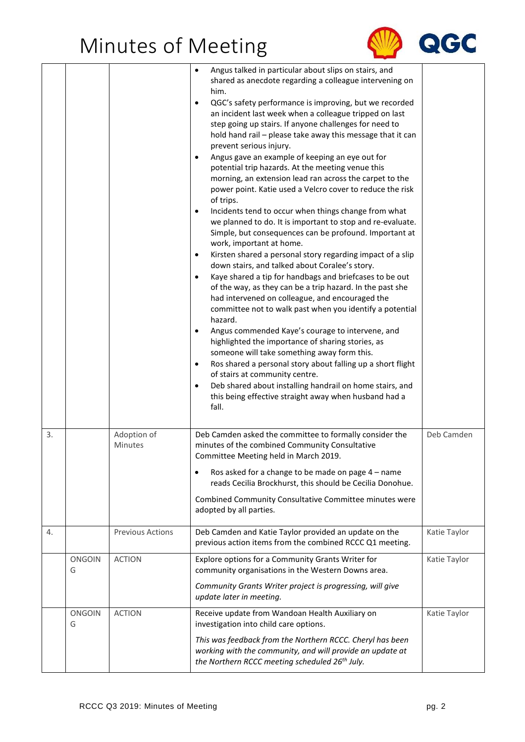

|    |                    |                         | Angus talked in particular about slips on stairs, and<br>$\bullet$<br>shared as anecdote regarding a colleague intervening on<br>him.<br>QGC's safety performance is improving, but we recorded<br>٠<br>an incident last week when a colleague tripped on last<br>step going up stairs. If anyone challenges for need to<br>hold hand rail - please take away this message that it can<br>prevent serious injury.<br>Angus gave an example of keeping an eye out for<br>$\bullet$<br>potential trip hazards. At the meeting venue this<br>morning, an extension lead ran across the carpet to the<br>power point. Katie used a Velcro cover to reduce the risk<br>of trips.<br>Incidents tend to occur when things change from what<br>$\bullet$<br>we planned to do. It is important to stop and re-evaluate.<br>Simple, but consequences can be profound. Important at<br>work, important at home.<br>Kirsten shared a personal story regarding impact of a slip<br>$\bullet$<br>down stairs, and talked about Coralee's story.<br>Kaye shared a tip for handbags and briefcases to be out<br>$\bullet$<br>of the way, as they can be a trip hazard. In the past she<br>had intervened on colleague, and encouraged the<br>committee not to walk past when you identify a potential<br>hazard.<br>Angus commended Kaye's courage to intervene, and<br>$\bullet$<br>highlighted the importance of sharing stories, as<br>someone will take something away form this.<br>Ros shared a personal story about falling up a short flight<br>$\bullet$<br>of stairs at community centre.<br>Deb shared about installing handrail on home stairs, and<br>this being effective straight away when husband had a<br>fall. |              |
|----|--------------------|-------------------------|-------------------------------------------------------------------------------------------------------------------------------------------------------------------------------------------------------------------------------------------------------------------------------------------------------------------------------------------------------------------------------------------------------------------------------------------------------------------------------------------------------------------------------------------------------------------------------------------------------------------------------------------------------------------------------------------------------------------------------------------------------------------------------------------------------------------------------------------------------------------------------------------------------------------------------------------------------------------------------------------------------------------------------------------------------------------------------------------------------------------------------------------------------------------------------------------------------------------------------------------------------------------------------------------------------------------------------------------------------------------------------------------------------------------------------------------------------------------------------------------------------------------------------------------------------------------------------------------------------------------------------------------------------------------------------------------------------------------|--------------|
| 3. |                    | Adoption of<br>Minutes  | Deb Camden asked the committee to formally consider the<br>minutes of the combined Community Consultative<br>Committee Meeting held in March 2019.<br>Ros asked for a change to be made on page 4 - name<br>٠                                                                                                                                                                                                                                                                                                                                                                                                                                                                                                                                                                                                                                                                                                                                                                                                                                                                                                                                                                                                                                                                                                                                                                                                                                                                                                                                                                                                                                                                                                     | Deb Camden   |
|    |                    |                         | reads Cecilia Brockhurst, this should be Cecilia Donohue.<br>Combined Community Consultative Committee minutes were<br>adopted by all parties.                                                                                                                                                                                                                                                                                                                                                                                                                                                                                                                                                                                                                                                                                                                                                                                                                                                                                                                                                                                                                                                                                                                                                                                                                                                                                                                                                                                                                                                                                                                                                                    |              |
| 4. |                    | <b>Previous Actions</b> | Deb Camden and Katie Taylor provided an update on the<br>previous action items from the combined RCCC Q1 meeting.                                                                                                                                                                                                                                                                                                                                                                                                                                                                                                                                                                                                                                                                                                                                                                                                                                                                                                                                                                                                                                                                                                                                                                                                                                                                                                                                                                                                                                                                                                                                                                                                 | Katie Taylor |
|    | <b>ONGOIN</b><br>G | <b>ACTION</b>           | Explore options for a Community Grants Writer for<br>community organisations in the Western Downs area.<br>Community Grants Writer project is progressing, will give                                                                                                                                                                                                                                                                                                                                                                                                                                                                                                                                                                                                                                                                                                                                                                                                                                                                                                                                                                                                                                                                                                                                                                                                                                                                                                                                                                                                                                                                                                                                              | Katie Taylor |
|    |                    |                         | update later in meeting.                                                                                                                                                                                                                                                                                                                                                                                                                                                                                                                                                                                                                                                                                                                                                                                                                                                                                                                                                                                                                                                                                                                                                                                                                                                                                                                                                                                                                                                                                                                                                                                                                                                                                          |              |
|    | <b>ONGOIN</b><br>G | <b>ACTION</b>           | Receive update from Wandoan Health Auxiliary on<br>investigation into child care options.                                                                                                                                                                                                                                                                                                                                                                                                                                                                                                                                                                                                                                                                                                                                                                                                                                                                                                                                                                                                                                                                                                                                                                                                                                                                                                                                                                                                                                                                                                                                                                                                                         | Katie Taylor |
|    |                    |                         | This was feedback from the Northern RCCC. Cheryl has been<br>working with the community, and will provide an update at<br>the Northern RCCC meeting scheduled 26 <sup>th</sup> July.                                                                                                                                                                                                                                                                                                                                                                                                                                                                                                                                                                                                                                                                                                                                                                                                                                                                                                                                                                                                                                                                                                                                                                                                                                                                                                                                                                                                                                                                                                                              |              |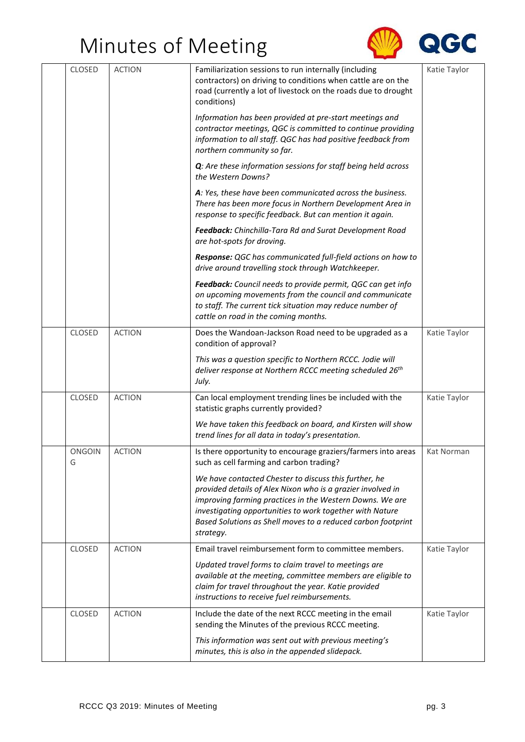

| CLOSED             | <b>ACTION</b> | Familiarization sessions to run internally (including                                                                                                                                                                                                                                                                     | Katie Taylor |
|--------------------|---------------|---------------------------------------------------------------------------------------------------------------------------------------------------------------------------------------------------------------------------------------------------------------------------------------------------------------------------|--------------|
|                    |               | contractors) on driving to conditions when cattle are on the<br>road (currently a lot of livestock on the roads due to drought<br>conditions)                                                                                                                                                                             |              |
|                    |               | Information has been provided at pre-start meetings and<br>contractor meetings, QGC is committed to continue providing<br>information to all staff. QGC has had positive feedback from<br>northern community so far.                                                                                                      |              |
|                    |               | Q: Are these information sessions for staff being held across<br>the Western Downs?                                                                                                                                                                                                                                       |              |
|                    |               | A: Yes, these have been communicated across the business.<br>There has been more focus in Northern Development Area in<br>response to specific feedback. But can mention it again.                                                                                                                                        |              |
|                    |               | Feedback: Chinchilla-Tara Rd and Surat Development Road<br>are hot-spots for droving.                                                                                                                                                                                                                                     |              |
|                    |               | Response: QGC has communicated full-field actions on how to<br>drive around travelling stock through Watchkeeper.                                                                                                                                                                                                         |              |
|                    |               | Feedback: Council needs to provide permit, QGC can get info<br>on upcoming movements from the council and communicate<br>to staff. The current tick situation may reduce number of<br>cattle on road in the coming months.                                                                                                |              |
| <b>CLOSED</b>      | <b>ACTION</b> | Does the Wandoan-Jackson Road need to be upgraded as a<br>condition of approval?                                                                                                                                                                                                                                          | Katie Taylor |
|                    |               | This was a question specific to Northern RCCC. Jodie will<br>deliver response at Northern RCCC meeting scheduled 26 <sup>th</sup><br>July.                                                                                                                                                                                |              |
| <b>CLOSED</b>      | <b>ACTION</b> | Can local employment trending lines be included with the<br>statistic graphs currently provided?                                                                                                                                                                                                                          | Katie Taylor |
|                    |               | We have taken this feedback on board, and Kirsten will show<br>trend lines for all data in today's presentation.                                                                                                                                                                                                          |              |
| <b>ONGOIN</b><br>G | <b>ACTION</b> | Is there opportunity to encourage graziers/farmers into areas<br>such as cell farming and carbon trading?                                                                                                                                                                                                                 | Kat Norman   |
|                    |               | We have contacted Chester to discuss this further, he<br>provided details of Alex Nixon who is a grazier involved in<br>improving farming practices in the Western Downs. We are<br>investigating opportunities to work together with Nature<br>Based Solutions as Shell moves to a reduced carbon footprint<br>strategy. |              |
| <b>CLOSED</b>      | <b>ACTION</b> | Email travel reimbursement form to committee members.                                                                                                                                                                                                                                                                     | Katie Taylor |
|                    |               | Updated travel forms to claim travel to meetings are<br>available at the meeting, committee members are eligible to<br>claim for travel throughout the year. Katie provided<br>instructions to receive fuel reimbursements.                                                                                               |              |
| <b>CLOSED</b>      | <b>ACTION</b> | Include the date of the next RCCC meeting in the email<br>sending the Minutes of the previous RCCC meeting.                                                                                                                                                                                                               | Katie Taylor |
|                    |               | This information was sent out with previous meeting's<br>minutes, this is also in the appended slidepack.                                                                                                                                                                                                                 |              |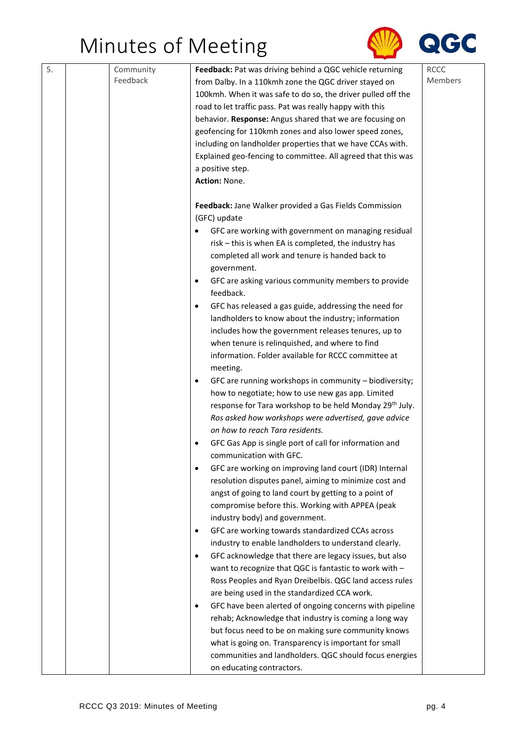

| 5. | Community | Feedback: Pat was driving behind a QGC vehicle returning                                | <b>RCCC</b> |
|----|-----------|-----------------------------------------------------------------------------------------|-------------|
|    | Feedback  | from Dalby. In a 110kmh zone the QGC driver stayed on                                   | Members     |
|    |           | 100kmh. When it was safe to do so, the driver pulled off the                            |             |
|    |           | road to let traffic pass. Pat was really happy with this                                |             |
|    |           | behavior. Response: Angus shared that we are focusing on                                |             |
|    |           | geofencing for 110kmh zones and also lower speed zones,                                 |             |
|    |           | including on landholder properties that we have CCAs with.                              |             |
|    |           | Explained geo-fencing to committee. All agreed that this was                            |             |
|    |           | a positive step.                                                                        |             |
|    |           | Action: None.                                                                           |             |
|    |           | Feedback: Jane Walker provided a Gas Fields Commission                                  |             |
|    |           | (GFC) update                                                                            |             |
|    |           | GFC are working with government on managing residual                                    |             |
|    |           | risk - this is when EA is completed, the industry has                                   |             |
|    |           | completed all work and tenure is handed back to                                         |             |
|    |           | government.                                                                             |             |
|    |           | GFC are asking various community members to provide<br>$\bullet$                        |             |
|    |           | feedback.                                                                               |             |
|    |           | GFC has released a gas guide, addressing the need for                                   |             |
|    |           | landholders to know about the industry; information                                     |             |
|    |           | includes how the government releases tenures, up to                                     |             |
|    |           | when tenure is relinquished, and where to find                                          |             |
|    |           | information. Folder available for RCCC committee at                                     |             |
|    |           | meeting.                                                                                |             |
|    |           | GFC are running workshops in community - biodiversity;<br>٠                             |             |
|    |           | how to negotiate; how to use new gas app. Limited                                       |             |
|    |           | response for Tara workshop to be held Monday 29 <sup>th</sup> July.                     |             |
|    |           | Ros asked how workshops were advertised, gave advice<br>on how to reach Tara residents. |             |
|    |           | GFC Gas App is single port of call for information and                                  |             |
|    |           | communication with GFC.                                                                 |             |
|    |           | GFC are working on improving land court (IDR) Internal<br>$\bullet$                     |             |
|    |           | resolution disputes panel, aiming to minimize cost and                                  |             |
|    |           | angst of going to land court by getting to a point of                                   |             |
|    |           | compromise before this. Working with APPEA (peak                                        |             |
|    |           | industry body) and government.                                                          |             |
|    |           | GFC are working towards standardized CCAs across<br>$\bullet$                           |             |
|    |           | industry to enable landholders to understand clearly.                                   |             |
|    |           | GFC acknowledge that there are legacy issues, but also<br>$\bullet$                     |             |
|    |           | want to recognize that QGC is fantastic to work with -                                  |             |
|    |           | Ross Peoples and Ryan Dreibelbis. QGC land access rules                                 |             |
|    |           | are being used in the standardized CCA work.                                            |             |
|    |           | GFC have been alerted of ongoing concerns with pipeline<br>$\bullet$                    |             |
|    |           | rehab; Acknowledge that industry is coming a long way                                   |             |
|    |           | but focus need to be on making sure community knows                                     |             |
|    |           | what is going on. Transparency is important for small                                   |             |
|    |           | communities and landholders. QGC should focus energies                                  |             |
|    |           | on educating contractors.                                                               |             |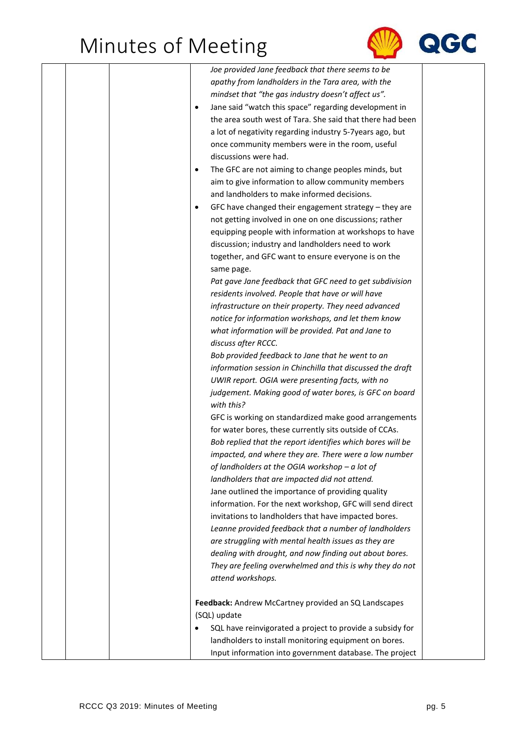

|  |           | Joe provided Jane feedback that there seems to be          |
|--|-----------|------------------------------------------------------------|
|  |           | apathy from landholders in the Tara area, with the         |
|  |           | mindset that "the gas industry doesn't affect us".         |
|  | $\bullet$ | Jane said "watch this space" regarding development in      |
|  |           | the area south west of Tara. She said that there had been  |
|  |           | a lot of negativity regarding industry 5-7years ago, but   |
|  |           | once community members were in the room, useful            |
|  |           | discussions were had.                                      |
|  | $\bullet$ | The GFC are not aiming to change peoples minds, but        |
|  |           | aim to give information to allow community members         |
|  |           | and landholders to make informed decisions.                |
|  | ٠         | GFC have changed their engagement strategy - they are      |
|  |           | not getting involved in one on one discussions; rather     |
|  |           | equipping people with information at workshops to have     |
|  |           | discussion; industry and landholders need to work          |
|  |           | together, and GFC want to ensure everyone is on the        |
|  |           | same page.                                                 |
|  |           | Pat gave Jane feedback that GFC need to get subdivision    |
|  |           | residents involved. People that have or will have          |
|  |           | infrastructure on their property. They need advanced       |
|  |           |                                                            |
|  |           | notice for information workshops, and let them know        |
|  |           | what information will be provided. Pat and Jane to         |
|  |           | discuss after RCCC.                                        |
|  |           | Bob provided feedback to Jane that he went to an           |
|  |           | information session in Chinchilla that discussed the draft |
|  |           | UWIR report. OGIA were presenting facts, with no           |
|  |           | judgement. Making good of water bores, is GFC on board     |
|  |           | with this?                                                 |
|  |           | GFC is working on standardized make good arrangements      |
|  |           | for water bores, these currently sits outside of CCAs.     |
|  |           | Bob replied that the report identifies which bores will be |
|  |           | impacted, and where they are. There were a low number      |
|  |           | of landholders at the OGIA workshop $-a$ lot of            |
|  |           | landholders that are impacted did not attend.              |
|  |           | Jane outlined the importance of providing quality          |
|  |           | information. For the next workshop, GFC will send direct   |
|  |           | invitations to landholders that have impacted bores.       |
|  |           | Leanne provided feedback that a number of landholders      |
|  |           | are struggling with mental health issues as they are       |
|  |           | dealing with drought, and now finding out about bores.     |
|  |           | They are feeling overwhelmed and this is why they do not   |
|  |           | attend workshops.                                          |
|  |           |                                                            |
|  |           | Feedback: Andrew McCartney provided an SQ Landscapes       |
|  |           | (SQL) update                                               |
|  | $\bullet$ | SQL have reinvigorated a project to provide a subsidy for  |
|  |           | landholders to install monitoring equipment on bores.      |
|  |           | Input information into government database. The project    |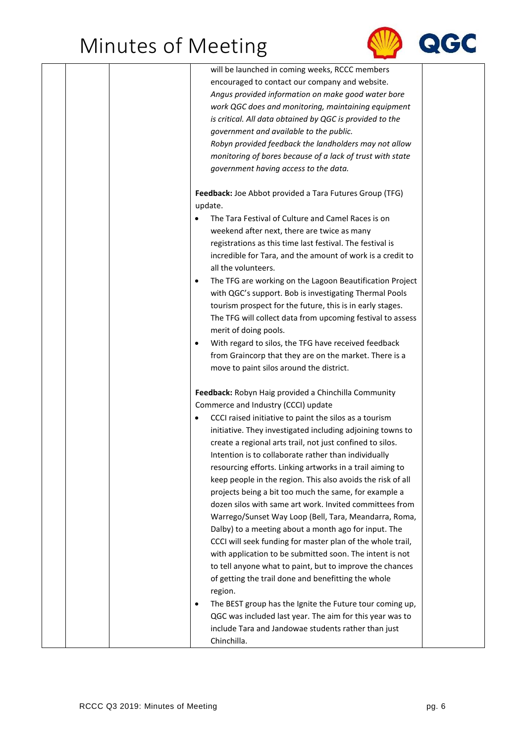

|  | will be launched in coming weeks, RCCC members                        |
|--|-----------------------------------------------------------------------|
|  | encouraged to contact our company and website.                        |
|  | Angus provided information on make good water bore                    |
|  | work QGC does and monitoring, maintaining equipment                   |
|  | is critical. All data obtained by QGC is provided to the              |
|  | government and available to the public.                               |
|  | Robyn provided feedback the landholders may not allow                 |
|  | monitoring of bores because of a lack of trust with state             |
|  | government having access to the data.                                 |
|  |                                                                       |
|  | Feedback: Joe Abbot provided a Tara Futures Group (TFG)               |
|  | update.                                                               |
|  | The Tara Festival of Culture and Camel Races is on                    |
|  | weekend after next, there are twice as many                           |
|  | registrations as this time last festival. The festival is             |
|  | incredible for Tara, and the amount of work is a credit to            |
|  | all the volunteers.                                                   |
|  | The TFG are working on the Lagoon Beautification Project<br>$\bullet$ |
|  | with QGC's support. Bob is investigating Thermal Pools                |
|  | tourism prospect for the future, this is in early stages.             |
|  |                                                                       |
|  | The TFG will collect data from upcoming festival to assess            |
|  | merit of doing pools.                                                 |
|  | With regard to silos, the TFG have received feedback<br>$\bullet$     |
|  | from Graincorp that they are on the market. There is a                |
|  | move to paint silos around the district.                              |
|  |                                                                       |
|  | Feedback: Robyn Haig provided a Chinchilla Community                  |
|  | Commerce and Industry (CCCI) update                                   |
|  | CCCI raised initiative to paint the silos as a tourism                |
|  | initiative. They investigated including adjoining towns to            |
|  | create a regional arts trail, not just confined to silos.             |
|  | Intention is to collaborate rather than individually                  |
|  | resourcing efforts. Linking artworks in a trail aiming to             |
|  | keep people in the region. This also avoids the risk of all           |
|  | projects being a bit too much the same, for example a                 |
|  | dozen silos with same art work. Invited committees from               |
|  | Warrego/Sunset Way Loop (Bell, Tara, Meandarra, Roma,                 |
|  | Dalby) to a meeting about a month ago for input. The                  |
|  | CCCI will seek funding for master plan of the whole trail,            |
|  | with application to be submitted soon. The intent is not              |
|  | to tell anyone what to paint, but to improve the chances              |
|  | of getting the trail done and benefitting the whole                   |
|  | region.                                                               |
|  | The BEST group has the Ignite the Future tour coming up,<br>٠         |
|  | QGC was included last year. The aim for this year was to              |
|  | include Tara and Jandowae students rather than just                   |
|  | Chinchilla.                                                           |
|  |                                                                       |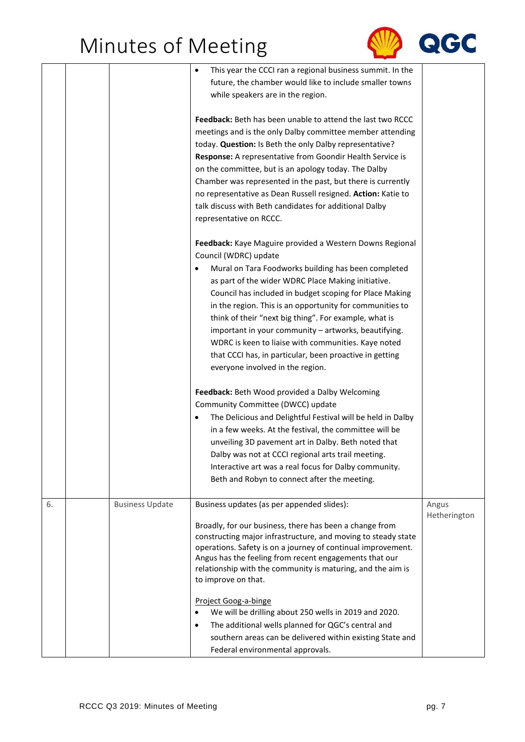

|    |                        | This year the CCCI ran a regional business summit. In the<br>future, the chamber would like to include smaller towns<br>while speakers are in the region.                                                                                                                                                                                                                                                                                                                                                                                                                                                                                                |                       |
|----|------------------------|----------------------------------------------------------------------------------------------------------------------------------------------------------------------------------------------------------------------------------------------------------------------------------------------------------------------------------------------------------------------------------------------------------------------------------------------------------------------------------------------------------------------------------------------------------------------------------------------------------------------------------------------------------|-----------------------|
|    |                        | Feedback: Beth has been unable to attend the last two RCCC<br>meetings and is the only Dalby committee member attending<br>today. Question: Is Beth the only Dalby representative?<br>Response: A representative from Goondir Health Service is<br>on the committee, but is an apology today. The Dalby<br>Chamber was represented in the past, but there is currently<br>no representative as Dean Russell resigned. Action: Katie to<br>talk discuss with Beth candidates for additional Dalby<br>representative on RCCC.                                                                                                                              |                       |
|    |                        | Feedback: Kaye Maguire provided a Western Downs Regional<br>Council (WDRC) update<br>Mural on Tara Foodworks building has been completed<br>as part of the wider WDRC Place Making initiative.<br>Council has included in budget scoping for Place Making<br>in the region. This is an opportunity for communities to<br>think of their "next big thing". For example, what is<br>important in your community - artworks, beautifying.<br>WDRC is keen to liaise with communities. Kaye noted<br>that CCCI has, in particular, been proactive in getting<br>everyone involved in the region.                                                             |                       |
|    |                        | Feedback: Beth Wood provided a Dalby Welcoming<br>Community Committee (DWCC) update<br>The Delicious and Delightful Festival will be held in Dalby<br>$\bullet$<br>in a few weeks. At the festival, the committee will be<br>unveiling 3D pavement art in Dalby. Beth noted that<br>Dalby was not at CCCI regional arts trail meeting.<br>Interactive art was a real focus for Dalby community.<br>Beth and Robyn to connect after the meeting.                                                                                                                                                                                                          |                       |
| 6. | <b>Business Update</b> | Business updates (as per appended slides):<br>Broadly, for our business, there has been a change from<br>constructing major infrastructure, and moving to steady state<br>operations. Safety is on a journey of continual improvement.<br>Angus has the feeling from recent engagements that our<br>relationship with the community is maturing, and the aim is<br>to improve on that.<br>Project Goog-a-binge<br>We will be drilling about 250 wells in 2019 and 2020.<br>$\bullet$<br>The additional wells planned for QGC's central and<br>$\bullet$<br>southern areas can be delivered within existing State and<br>Federal environmental approvals. | Angus<br>Hetherington |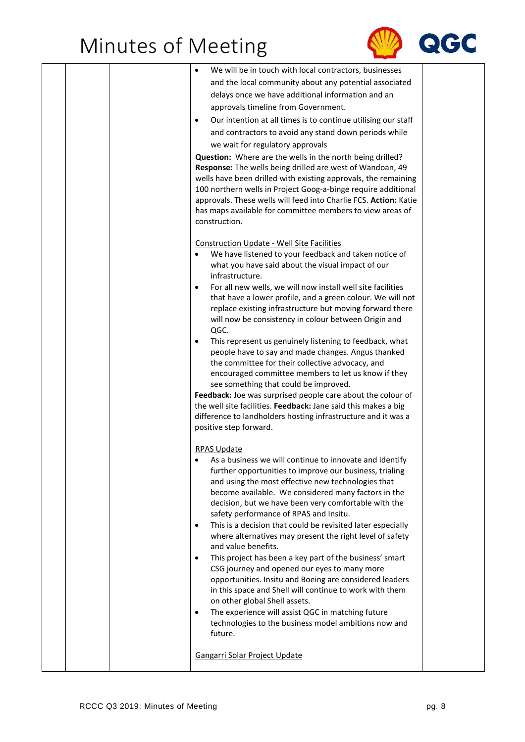

|  | We will be in touch with local contractors, businesses                                                                        |  |
|--|-------------------------------------------------------------------------------------------------------------------------------|--|
|  | and the local community about any potential associated                                                                        |  |
|  | delays once we have additional information and an                                                                             |  |
|  | approvals timeline from Government.                                                                                           |  |
|  | Our intention at all times is to continue utilising our staff<br>$\bullet$                                                    |  |
|  | and contractors to avoid any stand down periods while                                                                         |  |
|  | we wait for regulatory approvals                                                                                              |  |
|  | Question: Where are the wells in the north being drilled?                                                                     |  |
|  | Response: The wells being drilled are west of Wandoan, 49                                                                     |  |
|  | wells have been drilled with existing approvals, the remaining                                                                |  |
|  | 100 northern wells in Project Goog-a-binge require additional                                                                 |  |
|  | approvals. These wells will feed into Charlie FCS. Action: Katie<br>has maps available for committee members to view areas of |  |
|  | construction.                                                                                                                 |  |
|  |                                                                                                                               |  |
|  | <b>Construction Update - Well Site Facilities</b>                                                                             |  |
|  | We have listened to your feedback and taken notice of                                                                         |  |
|  | what you have said about the visual impact of our                                                                             |  |
|  | infrastructure.                                                                                                               |  |
|  | For all new wells, we will now install well site facilities                                                                   |  |
|  | that have a lower profile, and a green colour. We will not<br>replace existing infrastructure but moving forward there        |  |
|  | will now be consistency in colour between Origin and                                                                          |  |
|  | QGC.                                                                                                                          |  |
|  | This represent us genuinely listening to feedback, what<br>٠                                                                  |  |
|  | people have to say and made changes. Angus thanked                                                                            |  |
|  | the committee for their collective advocacy, and                                                                              |  |
|  | encouraged committee members to let us know if they<br>see something that could be improved.                                  |  |
|  | Feedback: Joe was surprised people care about the colour of                                                                   |  |
|  | the well site facilities. Feedback: Jane said this makes a big                                                                |  |
|  | difference to landholders hosting infrastructure and it was a                                                                 |  |
|  | positive step forward.                                                                                                        |  |
|  |                                                                                                                               |  |
|  | <b>RPAS Update</b><br>As a business we will continue to innovate and identify                                                 |  |
|  | further opportunities to improve our business, trialing                                                                       |  |
|  | and using the most effective new technologies that                                                                            |  |
|  | become available. We considered many factors in the                                                                           |  |
|  | decision, but we have been very comfortable with the                                                                          |  |
|  | safety performance of RPAS and Insitu.                                                                                        |  |
|  | This is a decision that could be revisited later especially<br>٠<br>where alternatives may present the right level of safety  |  |
|  | and value benefits.                                                                                                           |  |
|  | This project has been a key part of the business' smart<br>$\bullet$                                                          |  |
|  | CSG journey and opened our eyes to many more                                                                                  |  |
|  | opportunities. Insitu and Boeing are considered leaders                                                                       |  |
|  | in this space and Shell will continue to work with them                                                                       |  |
|  | on other global Shell assets.                                                                                                 |  |
|  | The experience will assist QGC in matching future<br>$\bullet$<br>technologies to the business model ambitions now and        |  |
|  | future.                                                                                                                       |  |
|  |                                                                                                                               |  |
|  | Gangarri Solar Project Update                                                                                                 |  |
|  |                                                                                                                               |  |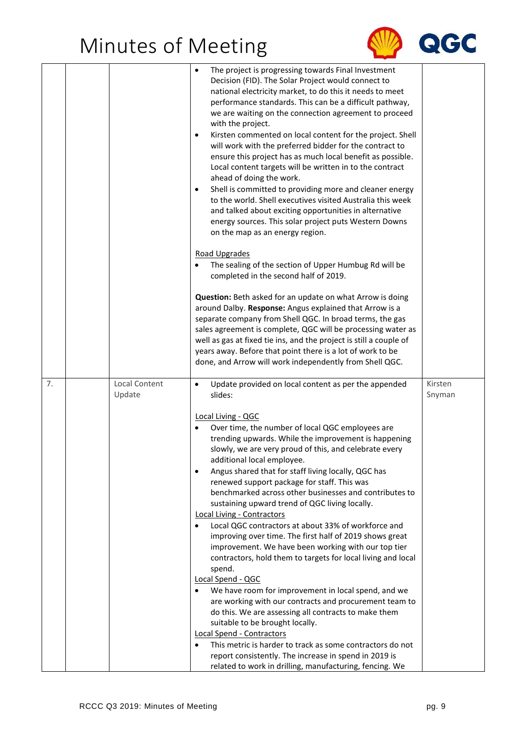

|    |                         | The project is progressing towards Final Investment<br>Decision (FID). The Solar Project would connect to<br>national electricity market, to do this it needs to meet<br>performance standards. This can be a difficult pathway,<br>we are waiting on the connection agreement to proceed<br>with the project.<br>Kirsten commented on local content for the project. Shell<br>$\bullet$<br>will work with the preferred bidder for the contract to<br>ensure this project has as much local benefit as possible.<br>Local content targets will be written in to the contract<br>ahead of doing the work.<br>Shell is committed to providing more and cleaner energy<br>$\bullet$<br>to the world. Shell executives visited Australia this week<br>and talked about exciting opportunities in alternative<br>energy sources. This solar project puts Western Downs<br>on the map as an energy region.<br>Road Upgrades<br>The sealing of the section of Upper Humbug Rd will be<br>completed in the second half of 2019.<br>Question: Beth asked for an update on what Arrow is doing<br>around Dalby. Response: Angus explained that Arrow is a<br>separate company from Shell QGC. In broad terms, the gas<br>sales agreement is complete, QGC will be processing water as<br>well as gas at fixed tie ins, and the project is still a couple of<br>years away. Before that point there is a lot of work to be<br>done, and Arrow will work independently from Shell QGC. |                   |
|----|-------------------------|-----------------------------------------------------------------------------------------------------------------------------------------------------------------------------------------------------------------------------------------------------------------------------------------------------------------------------------------------------------------------------------------------------------------------------------------------------------------------------------------------------------------------------------------------------------------------------------------------------------------------------------------------------------------------------------------------------------------------------------------------------------------------------------------------------------------------------------------------------------------------------------------------------------------------------------------------------------------------------------------------------------------------------------------------------------------------------------------------------------------------------------------------------------------------------------------------------------------------------------------------------------------------------------------------------------------------------------------------------------------------------------------------------------------------------------------------------------------------------|-------------------|
| 7. | Local Content<br>Update | Update provided on local content as per the appended<br>$\bullet$<br>slides:<br>Local Living - QGC<br>Over time, the number of local QGC employees are<br>trending upwards. While the improvement is happening<br>slowly, we are very proud of this, and celebrate every<br>additional local employee.<br>Angus shared that for staff living locally, QGC has<br>$\bullet$<br>renewed support package for staff. This was<br>benchmarked across other businesses and contributes to<br>sustaining upward trend of QGC living locally.<br>Local Living - Contractors<br>Local QGC contractors at about 33% of workforce and<br>$\bullet$<br>improving over time. The first half of 2019 shows great<br>improvement. We have been working with our top tier<br>contractors, hold them to targets for local living and local<br>spend.<br>Local Spend - QGC<br>We have room for improvement in local spend, and we<br>are working with our contracts and procurement team to<br>do this. We are assessing all contracts to make them<br>suitable to be brought locally.<br>Local Spend - Contractors<br>This metric is harder to track as some contractors do not<br>report consistently. The increase in spend in 2019 is<br>related to work in drilling, manufacturing, fencing. We                                                                                                                                                                                          | Kirsten<br>Snyman |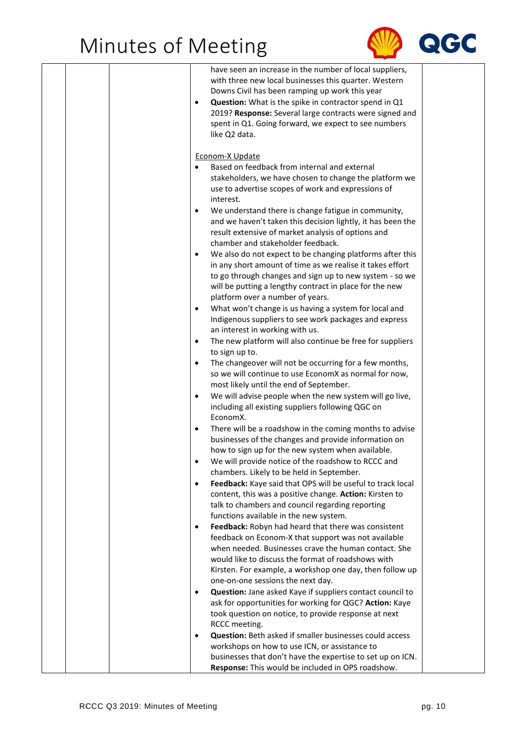

| $\bullet$                                        | have seen an increase in the number of local suppliers,<br>with three new local businesses this quarter. Western<br>Downs Civil has been ramping up work this year<br>Question: What is the spike in contractor spend in Q1<br>2019? Response: Several large contracts were signed and<br>spent in Q1. Going forward, we expect to see numbers<br>like Q2 data.                                                                                                                                                                                                                                                                                                                                                                                            |
|--------------------------------------------------|------------------------------------------------------------------------------------------------------------------------------------------------------------------------------------------------------------------------------------------------------------------------------------------------------------------------------------------------------------------------------------------------------------------------------------------------------------------------------------------------------------------------------------------------------------------------------------------------------------------------------------------------------------------------------------------------------------------------------------------------------------|
| $\bullet$<br>$\bullet$<br>$\bullet$              | Econom-X Update<br>Based on feedback from internal and external<br>stakeholders, we have chosen to change the platform we<br>use to advertise scopes of work and expressions of<br>interest.<br>We understand there is change fatigue in community,<br>and we haven't taken this decision lightly, it has been the<br>result extensive of market analysis of options and<br>chamber and stakeholder feedback.<br>We also do not expect to be changing platforms after this<br>in any short amount of time as we realise it takes effort<br>to go through changes and sign up to new system - so we<br>will be putting a lengthy contract in place for the new<br>platform over a number of years.<br>What won't change is us having a system for local and |
| $\bullet$<br>$\bullet$<br>$\bullet$<br>$\bullet$ | Indigenous suppliers to see work packages and express<br>an interest in working with us.<br>The new platform will also continue be free for suppliers<br>to sign up to.<br>The changeover will not be occurring for a few months,<br>so we will continue to use EconomX as normal for now,<br>most likely until the end of September.<br>We will advise people when the new system will go live,<br>including all existing suppliers following QGC on                                                                                                                                                                                                                                                                                                      |
| $\bullet$<br>٠<br>$\bullet$                      | EconomX.<br>There will be a roadshow in the coming months to advise<br>businesses of the changes and provide information on<br>how to sign up for the new system when available.<br>We will provide notice of the roadshow to RCCC and<br>chambers. Likely to be held in September.<br>Feedback: Kaye said that OPS will be useful to track local<br>content, this was a positive change. Action: Kirsten to                                                                                                                                                                                                                                                                                                                                               |
| $\bullet$                                        | talk to chambers and council regarding reporting<br>functions available in the new system.<br>Feedback: Robyn had heard that there was consistent<br>feedback on Econom-X that support was not available<br>when needed. Businesses crave the human contact. She<br>would like to discuss the format of roadshows with<br>Kirsten. For example, a workshop one day, then follow up<br>one-on-one sessions the next day.                                                                                                                                                                                                                                                                                                                                    |
| $\bullet$<br>$\bullet$                           | Question: Jane asked Kaye if suppliers contact council to<br>ask for opportunities for working for QGC? Action: Kaye<br>took question on notice, to provide response at next<br>RCCC meeting.<br><b>Question:</b> Beth asked if smaller businesses could access<br>workshops on how to use ICN, or assistance to<br>businesses that don't have the expertise to set up on ICN.<br>Response: This would be included in OPS roadshow.                                                                                                                                                                                                                                                                                                                        |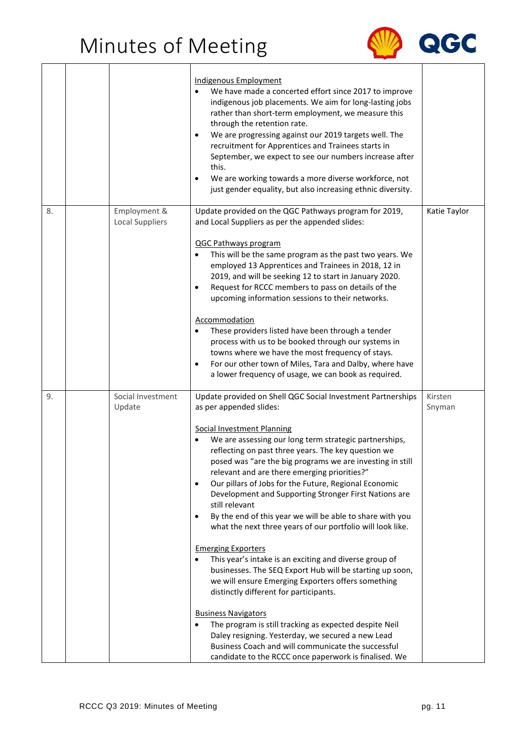

|    |                                        | Indigenous Employment<br>We have made a concerted effort since 2017 to improve<br>indigenous job placements. We aim for long-lasting jobs<br>rather than short-term employment, we measure this<br>through the retention rate.<br>We are progressing against our 2019 targets well. The<br>$\bullet$<br>recruitment for Apprentices and Trainees starts in<br>September, we expect to see our numbers increase after<br>this.<br>We are working towards a more diverse workforce, not<br>٠<br>just gender equality, but also increasing ethnic diversity.                                                                                                                                                                                                                                                                                                                                                                                                                                                                                                                                                                                                                                   |                   |
|----|----------------------------------------|---------------------------------------------------------------------------------------------------------------------------------------------------------------------------------------------------------------------------------------------------------------------------------------------------------------------------------------------------------------------------------------------------------------------------------------------------------------------------------------------------------------------------------------------------------------------------------------------------------------------------------------------------------------------------------------------------------------------------------------------------------------------------------------------------------------------------------------------------------------------------------------------------------------------------------------------------------------------------------------------------------------------------------------------------------------------------------------------------------------------------------------------------------------------------------------------|-------------------|
| 8. | Employment &<br><b>Local Suppliers</b> | Update provided on the QGC Pathways program for 2019,<br>and Local Suppliers as per the appended slides:<br><b>QGC Pathways program</b><br>This will be the same program as the past two years. We<br>$\bullet$<br>employed 13 Apprentices and Trainees in 2018, 12 in<br>2019, and will be seeking 12 to start in January 2020.<br>Request for RCCC members to pass on details of the<br>$\bullet$<br>upcoming information sessions to their networks.<br>Accommodation<br>These providers listed have been through a tender<br>process with us to be booked through our systems in<br>towns where we have the most frequency of stays.<br>For our other town of Miles, Tara and Dalby, where have<br>$\bullet$<br>a lower frequency of usage, we can book as required.                                                                                                                                                                                                                                                                                                                                                                                                                    | Katie Taylor      |
| 9. | Social Investment<br>Update            | Update provided on Shell QGC Social Investment Partnerships<br>as per appended slides:<br><b>Social Investment Planning</b><br>We are assessing our long term strategic partnerships,<br>$\bullet$<br>reflecting on past three years. The key question we<br>posed was "are the big programs we are investing in still<br>relevant and are there emerging priorities?"<br>Our pillars of Jobs for the Future, Regional Economic<br>$\bullet$<br>Development and Supporting Stronger First Nations are<br>still relevant<br>By the end of this year we will be able to share with you<br>$\bullet$<br>what the next three years of our portfolio will look like.<br><b>Emerging Exporters</b><br>This year's intake is an exciting and diverse group of<br>businesses. The SEQ Export Hub will be starting up soon,<br>we will ensure Emerging Exporters offers something<br>distinctly different for participants.<br><b>Business Navigators</b><br>The program is still tracking as expected despite Neil<br>$\bullet$<br>Daley resigning. Yesterday, we secured a new Lead<br>Business Coach and will communicate the successful<br>candidate to the RCCC once paperwork is finalised. We | Kirsten<br>Snyman |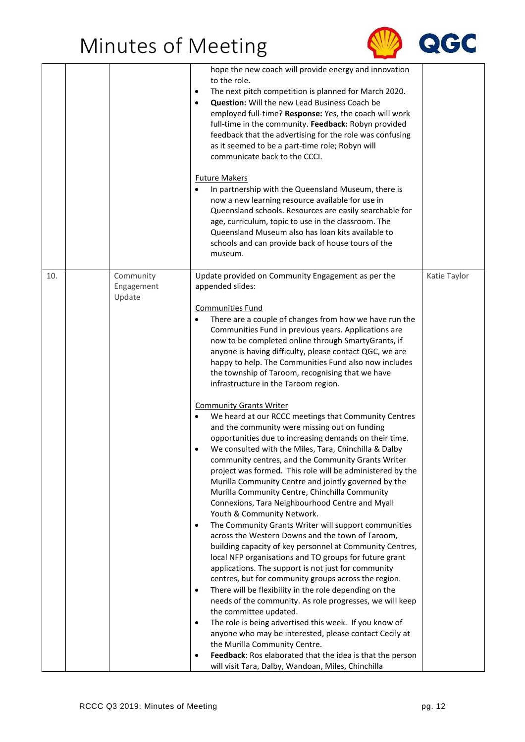

|     |                                   | hope the new coach will provide energy and innovation<br>to the role.<br>The next pitch competition is planned for March 2020.<br>$\bullet$<br><b>Question:</b> Will the new Lead Business Coach be<br>$\bullet$<br>employed full-time? Response: Yes, the coach will work<br>full-time in the community. Feedback: Robyn provided<br>feedback that the advertising for the role was confusing<br>as it seemed to be a part-time role; Robyn will<br>communicate back to the CCCI.                                                                                       |              |
|-----|-----------------------------------|--------------------------------------------------------------------------------------------------------------------------------------------------------------------------------------------------------------------------------------------------------------------------------------------------------------------------------------------------------------------------------------------------------------------------------------------------------------------------------------------------------------------------------------------------------------------------|--------------|
|     |                                   | <b>Future Makers</b><br>In partnership with the Queensland Museum, there is<br>now a new learning resource available for use in<br>Queensland schools. Resources are easily searchable for<br>age, curriculum, topic to use in the classroom. The<br>Queensland Museum also has loan kits available to<br>schools and can provide back of house tours of the<br>museum.                                                                                                                                                                                                  |              |
| 10. | Community<br>Engagement<br>Update | Update provided on Community Engagement as per the<br>appended slides:                                                                                                                                                                                                                                                                                                                                                                                                                                                                                                   | Katie Taylor |
|     |                                   | <b>Communities Fund</b><br>There are a couple of changes from how we have run the<br>Communities Fund in previous years. Applications are<br>now to be completed online through SmartyGrants, if<br>anyone is having difficulty, please contact QGC, we are<br>happy to help. The Communities Fund also now includes<br>the township of Taroom, recognising that we have<br>infrastructure in the Taroom region.                                                                                                                                                         |              |
|     |                                   | <b>Community Grants Writer</b><br>We heard at our RCCC meetings that Community Centres<br>and the community were missing out on funding<br>opportunities due to increasing demands on their time.<br>We consulted with the Miles, Tara, Chinchilla & Dalby<br>community centres, and the Community Grants Writer<br>project was formed. This role will be administered by the<br>Murilla Community Centre and jointly governed by the<br>Murilla Community Centre, Chinchilla Community<br>Connexions, Tara Neighbourhood Centre and Myall<br>Youth & Community Network. |              |
|     |                                   | The Community Grants Writer will support communities<br>٠<br>across the Western Downs and the town of Taroom,<br>building capacity of key personnel at Community Centres,<br>local NFP organisations and TO groups for future grant<br>applications. The support is not just for community<br>centres, but for community groups across the region.                                                                                                                                                                                                                       |              |
|     |                                   | There will be flexibility in the role depending on the<br>$\bullet$<br>needs of the community. As role progresses, we will keep<br>the committee updated.<br>The role is being advertised this week. If you know of<br>$\bullet$                                                                                                                                                                                                                                                                                                                                         |              |
|     |                                   | anyone who may be interested, please contact Cecily at<br>the Murilla Community Centre.<br>Feedback: Ros elaborated that the idea is that the person<br>$\bullet$                                                                                                                                                                                                                                                                                                                                                                                                        |              |
|     |                                   | will visit Tara, Dalby, Wandoan, Miles, Chinchilla                                                                                                                                                                                                                                                                                                                                                                                                                                                                                                                       |              |